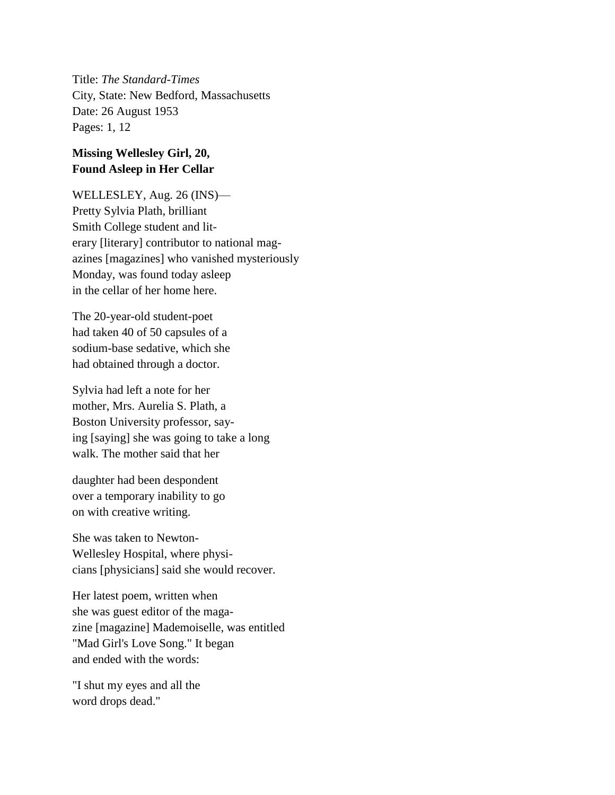Title: *The Standard-Times* City, State: New Bedford, Massachusetts Date: 26 August 1953 Pages: 1, 12

## **Missing Wellesley Girl, 20, Found Asleep in Her Cellar**

WELLESLEY, Aug. 26 (INS)— Pretty Sylvia Plath, brilliant Smith College student and literary [literary] contributor to national magazines [magazines] who vanished mysteriously Monday, was found today asleep in the cellar of her home here.

The 20-year-old student-poet had taken 40 of 50 capsules of a sodium-base sedative, which she had obtained through a doctor.

Sylvia had left a note for her mother, Mrs. Aurelia S. Plath, a Boston University professor, saying [saying] she was going to take a long walk. The mother said that her

daughter had been despondent over a temporary inability to go on with creative writing.

She was taken to Newton-Wellesley Hospital, where physicians [physicians] said she would recover.

Her latest poem, written when she was guest editor of the magazine [magazine] Mademoiselle, was entitled "Mad Girl's Love Song." It began and ended with the words:

"I shut my eyes and all the word drops dead."